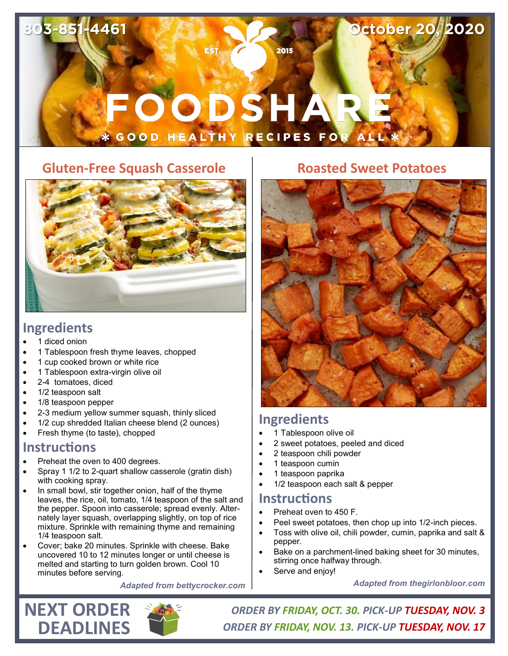# FOODSHARE **\* GOOD HEALTHY RECIPES FOR AL**

# **Gluten-Free Squash Casserole**



### **Ingredients**

**803-851-4461**

- 1 diced onion
- 1 Tablespoon fresh thyme leaves, chopped
- 1 cup cooked brown or white rice
- 1 Tablespoon extra-virgin olive oil
- 2-4 tomatoes, diced
- 1/2 teaspoon salt
- 1/8 teaspoon pepper
- 2-3 medium yellow summer squash, thinly sliced
- 1/2 cup shredded Italian cheese blend (2 ounces)
- Fresh thyme (to taste), chopped

#### **Instructions**

- Preheat the oven to 400 degrees.
- Spray 1 1/2 to 2-quart shallow casserole (gratin dish) with cooking spray.
- In small bowl, stir together onion, half of the thyme leaves, the rice, oil, tomato, 1/4 teaspoon of the salt and the pepper. Spoon into casserole; spread evenly. Alternately layer squash, overlapping slightly, on top of rice mixture. Sprinkle with remaining thyme and remaining 1/4 teaspoon salt.
- Cover; bake 20 minutes. Sprinkle with cheese. Bake uncovered 10 to 12 minutes longer or until cheese is melted and starting to turn golden brown. Cool 10 minutes before serving.

*Adapted from bettycrocker.com*

#### **Roasted Sweet Potatoes**

**October 20, 2020**



# **Ingredients**

- 1 Tablespoon olive oil
- 2 sweet potatoes, peeled and diced
- 2 teaspoon chili powder
- 1 teaspoon cumin
- 1 teaspoon paprika
- 1/2 teaspoon each salt & pepper

#### **Instructions**

- Preheat oven to 450 F.
- Peel sweet potatoes, then chop up into 1/2-inch pieces.
- Toss with olive oil, chili powder, cumin, paprika and salt & pepper.
- Bake on a parchment-lined baking sheet for 30 minutes, stirring once halfway through.
- Serve and enjoy!

*Adapted from thegirlonbloor.com*



*ORDER BY FRIDAY, OCT. 30. PICK-UP TUESDAY, NOV. 3 ORDER BY FRIDAY, NOV. 13. PICK-UP TUESDAY, NOV. 17*